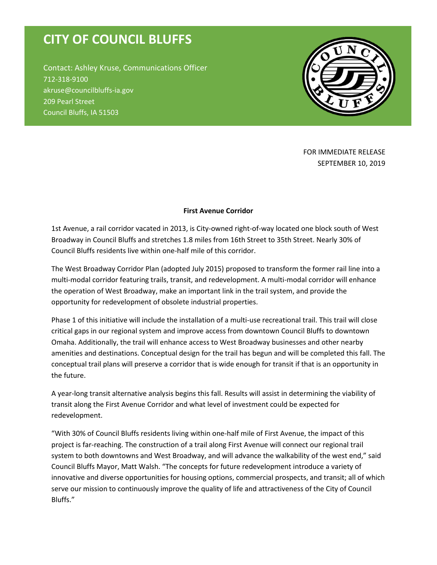## **CITY OF COUNCIL BLUFFS**

Contact: Ashley Kruse, Communications Officer 712-318-9100 akruse@councilbluffs-ia.gov 209 Pearl Street Council Bluffs, IA 51503



FOR IMMEDIATE RELEASE SEPTEMBER 10, 2019

## **First Avenue Corridor**

1st Avenue, a rail corridor vacated in 2013, is City-owned right-of-way located one block south of West Broadway in Council Bluffs and stretches 1.8 miles from 16th Street to 35th Street. Nearly 30% of Council Bluffs residents live within one-half mile of this corridor.

The West Broadway Corridor Plan (adopted July 2015) proposed to transform the former rail line into a multi-modal corridor featuring trails, transit, and redevelopment. A multi-modal corridor will enhance the operation of West Broadway, make an important link in the trail system, and provide the opportunity for redevelopment of obsolete industrial properties.

Phase 1 of this initiative will include the installation of a multi-use recreational trail. This trail will close critical gaps in our regional system and improve access from downtown Council Bluffs to downtown Omaha. Additionally, the trail will enhance access to West Broadway businesses and other nearby amenities and destinations. Conceptual design for the trail has begun and will be completed this fall. The conceptual trail plans will preserve a corridor that is wide enough for transit if that is an opportunity in the future.

A year-long transit alternative analysis begins this fall. Results will assist in determining the viability of transit along the First Avenue Corridor and what level of investment could be expected for redevelopment.

"With 30% of Council Bluffs residents living within one-half mile of First Avenue, the impact of this project is far-reaching. The construction of a trail along First Avenue will connect our regional trail system to both downtowns and West Broadway, and will advance the walkability of the west end," said Council Bluffs Mayor, Matt Walsh. "The concepts for future redevelopment introduce a variety of innovative and diverse opportunities for housing options, commercial prospects, and transit; all of which serve our mission to continuously improve the quality of life and attractiveness of the City of Council Bluffs."